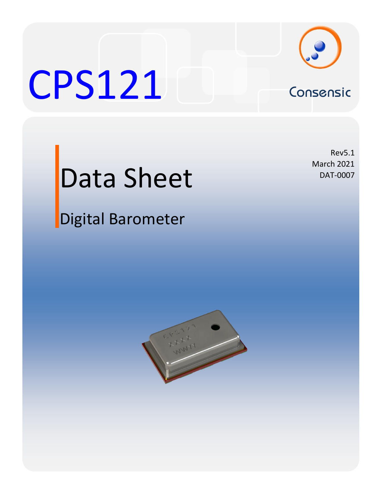

# CPS121 Consensic

Rev5.1

March 2021 DAT-0007

# Data Sheet

## Digital Barometer

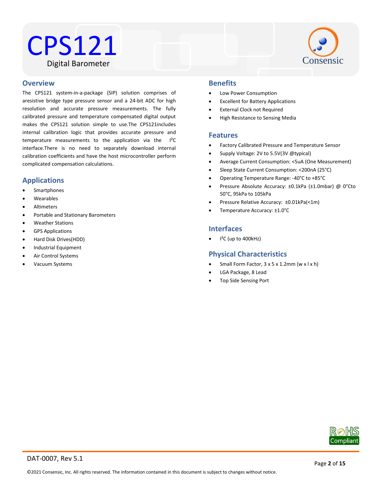### CPS121 Digital Barometer



#### Water Resistant **Overview**

The CPS121 system-in-a-package (SIP) solution comprises of aresistive bridge type pressure sensor and a 24-bit ADC for high resolution and accurate pressure measurements. The fully calibrated pressure and temperature compensated digital output makes the CPS121 solution simple to use.The CPS121includes internal calibration logic that provides accurate pressure and temperature measurements to the application via the I²C interface.There is no need to separately download internal calibration coefficients and have the host microcontroller perform complicated compensation calculations.

#### **Applications**

- Smartphones
- Wearables
- Altimeters
- Portable and Stationary Barometers
- Weather Stations
- GPS Applications
- Hard Disk Drives(HDD)
- Industrial Equipment
- Air Control Systems
- Vacuum Systems

#### **Benefits**

- Low Power Consumption
- Excellent for Battery Applications
- External Clock not Required
- High Resistance to Sensing Media

#### **Features**

- Factory Calibrated Pressure and Temperature Sensor
- Supply Voltage: 2V to 5.5V(3V @typical)
- Average Current Consumption: <5uA (One Measurement)
- Sleep State Current Consumption: <200nA (25°C)
- Operating Temperature Range: -40°C to +85°C
- Pressure Absolute Accuracy: ±0.1kPa (±1.0mbar) @ 0°Cto 50°C, 95kPa to 105kPa
- Pressure Relative Accuracy: ±0.01kPa(<1m)
- Temperature Accuracy: ±1.0°C

#### **Interfaces**

I²C (up to 400kHz)

#### **Physical Characteristics**

- Small Form Factor, 3 x 5 x 1.2mm (w x l x h)
- LGA Package, 8 Lead
- Top Side Sensing Port

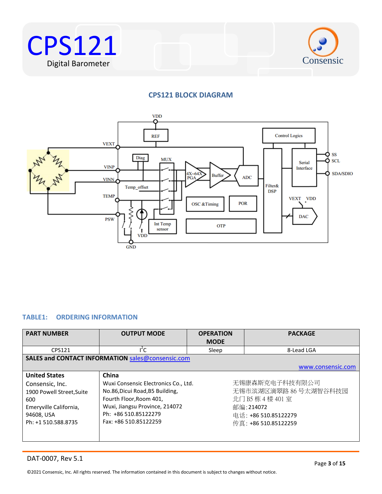



#### **CPS121 BLOCK DIAGRAM**



#### <span id="page-2-0"></span>**TABLE1: ORDERING INFORMATION**

| <b>PART NUMBER</b>        | <b>OUTPUT MODE</b>                                       | <b>OPERATION</b><br><b>MODE</b>            | <b>PACKAGE</b>       |  |
|---------------------------|----------------------------------------------------------|--------------------------------------------|----------------------|--|
|                           |                                                          |                                            |                      |  |
| CPS121                    | ľС                                                       | Sleep                                      | 8-Lead LGA           |  |
|                           | <b>SALES and CONTACT INFORMATION sales@consensic.com</b> |                                            |                      |  |
|                           |                                                          |                                            | www.consensic.com    |  |
| <b>United States</b>      | China                                                    |                                            |                      |  |
| Consensic, Inc.           | Wuxi Consensic Electronics Co., Ltd.                     |                                            | 无锡康森斯克电子科技有限公司       |  |
| 1900 Powell Street, Suite | No.86, Dicui Road, B5 Building,                          | 无锡市滨湖区滴翠路 86 号太湖智谷科技园<br>北门 B5 栋 4 楼 401 室 |                      |  |
| 600                       | Fourth Floor, Room 401,                                  |                                            |                      |  |
| Emeryville California,    | Wuxi, Jiangsu Province, 214072                           |                                            | 邮编:214072            |  |
| 94608, USA                | Ph: +86 510.85122279                                     |                                            | 电话: +86 510.85122279 |  |
| Ph: +1 510.588.8735       | Fax: +86 510.85122259                                    |                                            | 传真: +86 510.85122259 |  |
|                           |                                                          |                                            |                      |  |
|                           |                                                          |                                            |                      |  |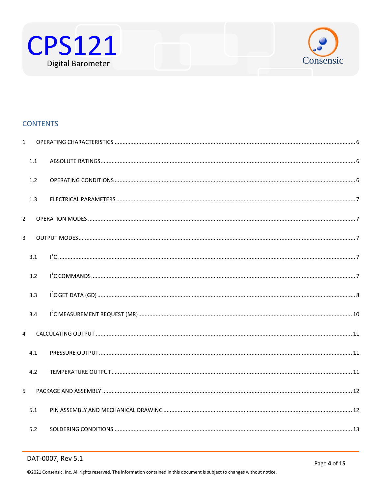



#### **CONTENTS**

| $\mathbf{1}$   |     |  |
|----------------|-----|--|
|                | 1.1 |  |
|                | 1.2 |  |
|                | 1.3 |  |
| $\overline{2}$ |     |  |
| $\overline{3}$ |     |  |
|                | 3.1 |  |
|                | 3.2 |  |
|                | 3.3 |  |
|                | 3.4 |  |
| 4              |     |  |
|                | 4.1 |  |
|                | 4.2 |  |
| 5              |     |  |
|                | 5.1 |  |
|                | 5.2 |  |

#### DAT-0007, Rev 5.1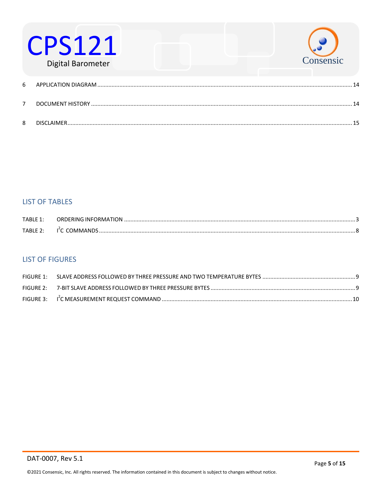

#### **LIST OF TABLES**

| TABLE 1: | ORDERING INFORMATION       |  |
|----------|----------------------------|--|
| TABLE 2: | I <sup>E</sup> C COMMANDS. |  |

#### **LIST OF FIGURES**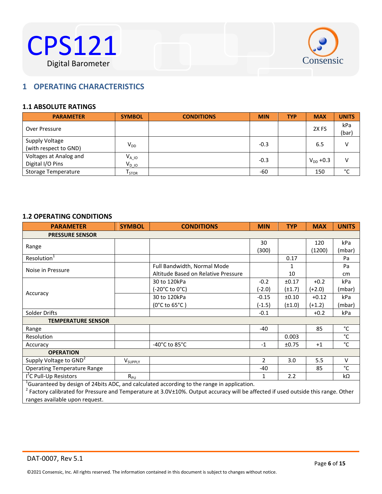



#### <span id="page-5-0"></span> $B^{\text{max}}$ **1 OPERATING CHARACTERISTICS**

#### <span id="page-5-1"></span>**1.1 ABSOLUTE RATINGS**

| <b>PARAMETER</b>                           | <b>SYMBOL</b>             | <b>CONDITIONS</b> | <b>MIN</b> | <b>TYP</b> | <b>MAX</b>       | <b>UNITS</b> |
|--------------------------------------------|---------------------------|-------------------|------------|------------|------------------|--------------|
| Over Pressure                              |                           |                   |            |            | 2X <sub>FS</sub> | kPa<br>(bar) |
| Supply Voltage<br>(with respect to GND)    | $V_{DD}$                  |                   | $-0.3$     |            | 6.5              |              |
| Voltages at Analog and<br>Digital I/O Pins | $V_{A\_10}$<br>$V_{D-10}$ |                   | $-0.3$     |            | $V_{DD}$ +0.3    | v            |
| Storage Temperature                        | I STOR                    |                   | -60        |            | 150              | $\sim$       |

#### <span id="page-5-2"></span>**1.2 OPERATING CONDITIONS**

| <b>PARAMETER</b>                                                                                       | <b>SYMBOL</b>       | <b>CONDITIONS</b>                   | <b>MIN</b>     | <b>TYP</b>  | <b>MAX</b> | <b>UNITS</b> |
|--------------------------------------------------------------------------------------------------------|---------------------|-------------------------------------|----------------|-------------|------------|--------------|
| <b>PRESSURE SENSOR</b>                                                                                 |                     |                                     |                |             |            |              |
|                                                                                                        |                     |                                     | 30             |             | 120        | kPa          |
| Range                                                                                                  |                     |                                     | (300)          |             | (1200)     | (mbar)       |
| Resolution <sup>1</sup>                                                                                |                     |                                     |                | 0.17        |            | Pa           |
| Noise in Pressure                                                                                      |                     | Full Bandwidth, Normal Mode         |                | 1           |            | Pa           |
|                                                                                                        |                     | Altitude Based on Relative Pressure |                | 10          |            | cm           |
|                                                                                                        |                     | 30 to 120kPa                        | $-0.2$         | ±0.17       | $+0.2$     | kPa          |
| Accuracy                                                                                               |                     | (-20°C to 0°C)                      | (-2.0)         | $(\pm 1.7)$ | $(+2.0)$   | (mbar)       |
|                                                                                                        |                     | 30 to 120kPa                        | $-0.15$        | ±0.10       | $+0.12$    | kPa          |
|                                                                                                        |                     | $(0^{\circ}$ C to 65 $^{\circ}$ C)  | $(-1.5)$       | $(\pm 1.0)$ | $(+1.2)$   | (mbar)       |
| Solder Drifts                                                                                          |                     |                                     | $-0.1$         |             | $+0.2$     | kPa          |
| <b>TEMPERATURE SENSOR</b>                                                                              |                     |                                     |                |             |            |              |
| Range                                                                                                  |                     |                                     | -40            |             | 85         | °C           |
| Resolution                                                                                             |                     |                                     |                | 0.003       |            | $^{\circ}$ C |
| Accuracy                                                                                               |                     | -40 $^{\circ}$ C to 85 $^{\circ}$ C | $-1$           | ±0.75       | $+1$       | $^{\circ}$ C |
| <b>OPERATION</b>                                                                                       |                     |                                     |                |             |            |              |
| Supply Voltage to GND <sup>2</sup>                                                                     | V <sub>SUPPLY</sub> |                                     | $\overline{2}$ | 3.0         | 5.5        | $\vee$       |
| <b>Operating Temperature Range</b>                                                                     |                     |                                     | -40            |             | 85         | °C           |
| I <sup>2</sup> C Pull-Up Resistors                                                                     | $R_{PU}$            |                                     | $\mathbf{1}$   | 2.2         |            | kΩ           |
| <sup>1</sup> Guaranteed by design of 24bits ADC, and calculated according to the range in application. |                     |                                     |                |             |            |              |

<sup>1</sup>Guaranteed by design of 24bits ADC, and calculated according to the range in application.<br><sup>2</sup> Factory calibrated for Pressure and Temperature at 3.0V±10%. Output accuracy will be affected if used outside this range. Oth ranges available upon request.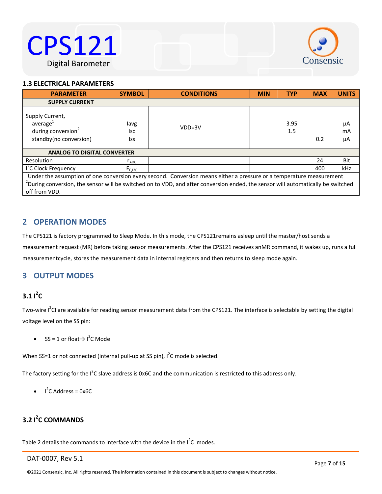



#### <span id="page-6-0"></span>Water Resistant **1.3 ELECTRICAL PARAMETERS**

| <b>PARAMETER</b>                                                                                                                                                                                                                                                                  | <b>SYMBOL</b>      | <b>CONDITIONS</b> | <b>MIN</b> | <b>TYP</b>  | <b>MAX</b> | <b>UNITS</b>   |
|-----------------------------------------------------------------------------------------------------------------------------------------------------------------------------------------------------------------------------------------------------------------------------------|--------------------|-------------------|------------|-------------|------------|----------------|
| <b>SUPPLY CURRENT</b>                                                                                                                                                                                                                                                             |                    |                   |            |             |            |                |
| Supply Current,<br>average <sup>1</sup><br>during conversion <sup>2</sup><br>standby(no conversion)                                                                                                                                                                               | lavg<br>lsc<br>Iss | $VDD=3V$          |            | 3.95<br>1.5 | 0.2        | μA<br>mA<br>μA |
| <b>ANALOG TO DIGITAL CONVERTER</b>                                                                                                                                                                                                                                                |                    |                   |            |             |            |                |
| Resolution                                                                                                                                                                                                                                                                        | $r_{ADC}$          |                   |            |             | 24         | Bit            |
| I <sup>2</sup> C Clock Frequency                                                                                                                                                                                                                                                  | $F_{C, I2C}$       |                   |            |             | 400        | kHz            |
| $1$ Under the assumption of one conversion every second. Conversion means either a pressure or a temperature measurement<br>$^2$ During conversion, the sensor will be switched on to VDD, and after conversion ended, the sensor will automatically be switched<br>off from VDD. |                    |                   |            |             |            |                |

#### <span id="page-6-1"></span>**2 OPERATION MODES**

The CPS121 is factory programmed to Sleep Mode. In this mode, the CPS121remains asleep until the master/host sends a measurement request (MR) before taking sensor measurements. After the CPS121 receives anMR command, it wakes up, runs a full measurementcycle, stores the measurement data in internal registers and then returns to sleep mode again.

#### <span id="page-6-3"></span><span id="page-6-2"></span>**3 OUTPUT MODES**

#### $3.11^2C$

Two-wire  $I^2$ CI are available for reading sensor measurement data from the CPS121. The interface is selectable by setting the digital voltage level on the SS pin:

• SS = 1 or float $\rightarrow$  l<sup>2</sup>C Mode

When SS=1 or not connected (internal pull-up at SS pin),  $I^2C$  mode is selected.

The factory setting for the I<sup>2</sup>C slave address is 0x6C and the communication is restricted to this address only.

 $I^2C$  Address = 0x6C

#### <span id="page-6-4"></span>**3.2 I 2 C COMMANDS**

Table 2 details the commands to interface with the device in the  $I^2C$  modes.

#### DAT-0007, Rev 5.1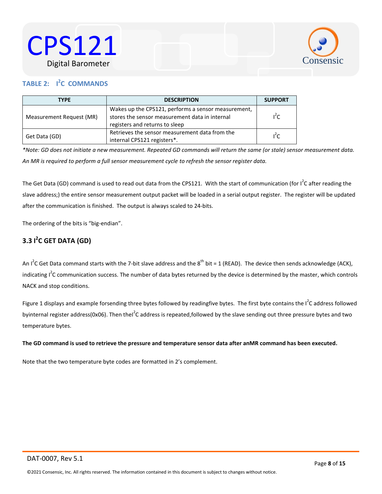



#### <span id="page-7-1"></span>**TABLE 2: I<sup><sup>2</sup>C COMMANDS**</sup>

| <b>TYPE</b><br><b>DESCRIPTION</b> |                                                                                                                                         |        |
|-----------------------------------|-----------------------------------------------------------------------------------------------------------------------------------------|--------|
| Measurement Request (MR)          | Wakes up the CPS121, performs a sensor measurement,<br>stores the sensor measurement data in internal<br>registers and returns to sleep | $l^2C$ |
| Get Data (GD)                     | Retrieves the sensor measurement data from the<br>internal CPS121 registers*.                                                           | $1^2C$ |

*\*Note: GD does not initiate a new measurement. Repeated GD commands will return the same (or stale) sensor measurement data. An MR is required to perform a full sensor measurement cycle to refresh the sensor register data.*

The Get Data (GD) command is used to read out data from the CPS121. With the start of communication (for I<sup>2</sup>C after reading the slave address;) the entire sensor measurement output packet will be loaded in a serial output register. The register will be updated after the communication is finished. The output is always scaled to 24-bits.

The ordering of the bits is "big-endian".

#### <span id="page-7-0"></span>**3.3 I 2 C GET DATA (GD)**

An I<sup>2</sup>C Get Data command starts with the 7-bit slave address and the 8<sup>th</sup> bit = 1 (READ). The device then sends acknowledge (ACK), indicating I<sup>2</sup>C communication success. The number of data bytes returned by the device is determined by the master, which controls NACK and stop conditions.

Figure 1 displays and example forsending three bytes followed by readingfive bytes. The first byte contains the  $I^2C$  address followed byinternal register address(0x06). Then thel<sup>2</sup>C address is repeated,followed by the slave sending out three pressure bytes and two temperature bytes.

#### **The GD command is used to retrieve the pressure and temperature sensor data after anMR command has been executed.**

Note that the two temperature byte codes are formatted in 2's complement.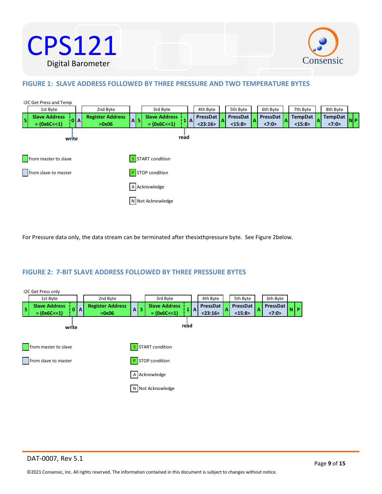



#### <span id="page-8-0"></span>**FIGURE 1: SLAVE ADDRESS FOLLOWED BY THREE PRESSURE AND TWO TEMPERATURE BYTES**



For Pressure data only, the data stream can be terminated after thesixthpressure byte. See Figure 2below.

#### <span id="page-8-1"></span>**FIGURE 2: 7-BIT SLAVE ADDRESS FOLLOWED BY THREE PRESSURE BYTES**

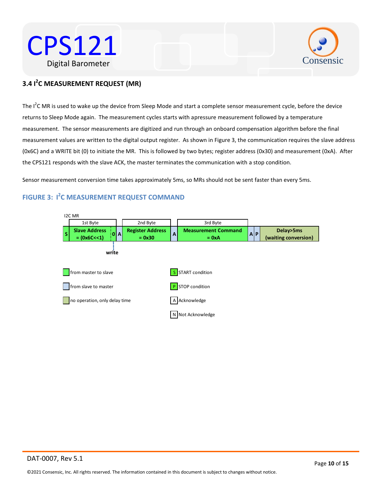



#### <span id="page-9-0"></span>Water Resistant **3.4 I 2 C MEASUREMENT REQUEST (MR)**

The I<sup>2</sup>C MR is used to wake up the device from Sleep Mode and start a complete sensor measurement cycle, before the device returns to Sleep Mode again. The measurement cycles starts with apressure measurement followed by a temperature measurement. The sensor measurements are digitized and run through an onboard compensation algorithm before the final measurement values are written to the digital output register. As shown in Figure 3, the communication requires the slave address (0x6C) and a WRITE bit (0) to initiate the MR. This is followed by two bytes; register address (0x30) and measurement (0xA). After the CPS121 responds with the slave ACK, the master terminates the communication with a stop condition.

Sensor measurement conversion time takes approximately 5ms, so MRs should not be sent faster than every 5ms.

#### <span id="page-9-1"></span>**FIGURE 3: I 2 C MEASUREMENT REQUEST COMMAND**

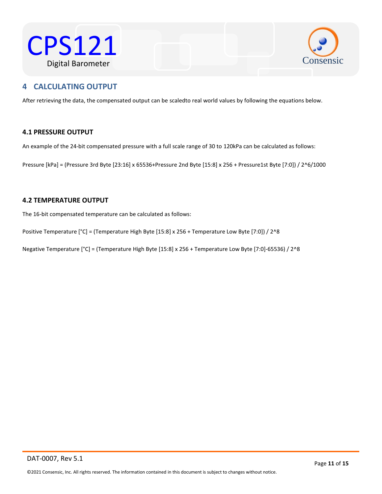



#### <span id="page-10-0"></span> $\mathcal{L}$ Western Resistant **4 CALCULATING OUTPUT**

After retrieving the data, the compensated output can be scaledto real world values by following the equations below.

#### <span id="page-10-1"></span>**4.1 PRESSURE OUTPUT**

An example of the 24-bit compensated pressure with a full scale range of 30 to 120kPa can be calculated as follows:

Pressure [kPa] = (Pressure 3rd Byte [23:16] x 65536+Pressure 2nd Byte [15:8] x 256 + Pressure1st Byte [7:0]) / 2^6/1000

#### <span id="page-10-2"></span>**4.2 TEMPERATURE OUTPUT**

The 16-bit compensated temperature can be calculated as follows:

Positive Temperature [°C] = (Temperature High Byte [15:8] x 256 + Temperature Low Byte [7:0]) / 2^8

Negative Temperature [°C] = (Temperature High Byte [15:8] x 256 + Temperature Low Byte [7:0]-65536) / 2^8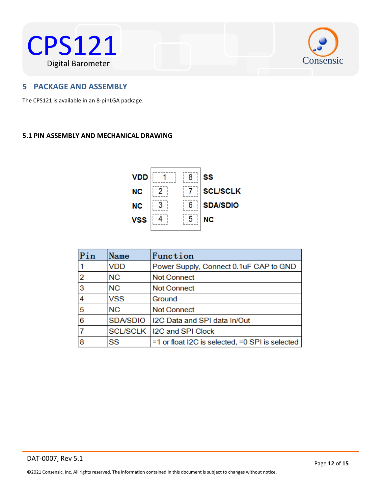



#### <span id="page-11-0"></span> $W$ a of a up a col **5 PACKAGE AND ASSEMBLY**

The CPS121 is available in an 8-pinLGA package.

#### <span id="page-11-1"></span>**5.1 PIN ASSEMBLY AND MECHANICAL DRAWING**



| Pin | Name            | Function                                        |
|-----|-----------------|-------------------------------------------------|
|     | <b>VDD</b>      | Power Supply, Connect 0.1uF CAP to GND          |
| 2   | <b>NC</b>       | <b>Not Connect</b>                              |
| 3   | <b>NC</b>       | <b>Not Connect</b>                              |
| 4   | <b>VSS</b>      | Ground                                          |
| 5   | <b>NC</b>       | <b>Not Connect</b>                              |
| 6   | <b>SDA/SDIO</b> | I2C Data and SPI data In/Out                    |
|     |                 | SCL/SCLK   12C and SPI Clock                    |
| 8   | SS              | =1 or float I2C is selected, =0 SPI is selected |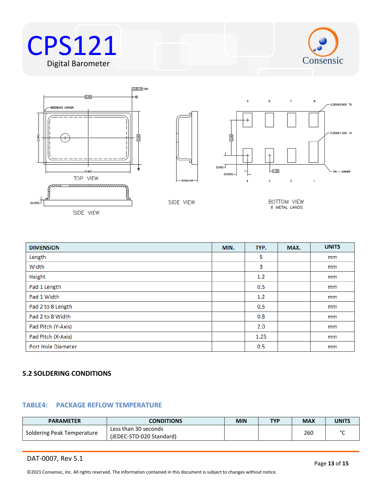









SIDE VIEW

BOTTOM VIEW 8 METAL LANDS

| <b>DIMENSION</b>          | MIN. | TYP. | MAX. | <b>UNITS</b> |
|---------------------------|------|------|------|--------------|
| Length                    |      | 5    |      | mm           |
| Width                     |      | 3    |      | mm           |
| Height                    |      | 1.2  |      | mm           |
| Pad 1 Length              |      | 0.5  |      | mm           |
| Pad 1 Width               |      | 1.2  |      | mm           |
| Pad 2 to 8 Length         |      | 0.5  |      | mm           |
| Pad 2 to 8 Width          |      | 0.8  |      | mm           |
| Pad Pitch (Y-Axis)        |      | 2.0  |      | mm           |
| Pad Pitch (X-Axis)        |      | 1.25 |      | mm           |
| <b>Port Hole Diameter</b> |      | 0.5  |      | mm           |

#### <span id="page-12-0"></span>**5.2 SOLDERING CONDITIONS**

#### **TABLE4: PACKAGE REFLOW TEMPERATURE**

| <b>PARAMETER</b>           | <b>CONDITIONS</b>                                | <b>MIN</b> | <b>TYP</b> | <b>MAX</b> | <b>UNITS</b> |
|----------------------------|--------------------------------------------------|------------|------------|------------|--------------|
| Soldering Peak Temperature | Less than 30 seconds<br>(JEDEC-STD-020 Standard) |            |            | 260        | $\sim$       |

DAT-0007, Rev 5.1

© 2021 Consensic, Inc. All rights reserved. The information contained in this document is subject to changes without notice.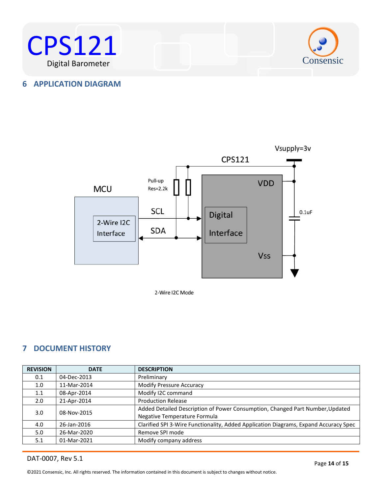



#### <span id="page-13-0"></span>**6 APPLICATION DIAGRAM**



2-Wire I2C Mode

#### <span id="page-13-1"></span>**7 DOCUMENT HISTORY**

| <b>REVISION</b>  | <b>DATE</b> | <b>DESCRIPTION</b>                                                                   |
|------------------|-------------|--------------------------------------------------------------------------------------|
| 0.1              | 04-Dec-2013 | Preliminary                                                                          |
| 1.0 <sub>1</sub> | 11-Mar-2014 | <b>Modify Pressure Accuracy</b>                                                      |
| 1.1              | 08-Apr-2014 | Modify I2C command                                                                   |
| 2.0              | 21-Apr-2014 | <b>Production Release</b>                                                            |
| 3.0 <sub>2</sub> | 08-Nov-2015 | Added Detailed Description of Power Consumption, Changed Part Number, Updated        |
|                  |             | Negative Temperature Formula                                                         |
| 4.0              | 26-Jan-2016 | Clarified SPI 3-Wire Functionality, Added Application Diagrams, Expand Accuracy Spec |
| 5.0              | 26-Mar-2020 | Remove SPI mode                                                                      |
| 5.1              | 01-Mar-2021 | Modify company address                                                               |